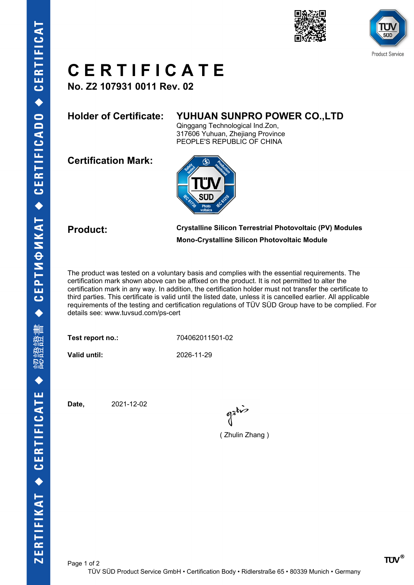



## **C E R T I F I C A T E**

**No. Z2 107931 0011 Rev. 02**

### **Holder of Certificate: YUHUAN SUNPRO POWER CO.,LTD**

Qinggang Technological Ind.Zon, 317606 Yuhuan, Zhejiang Province PEOPLE'S REPUBLIC OF CHINA

**Certification Mark:**



**Product: Crystalline Silicon Terrestrial Photovoltaic (PV) Modules Mono-Crystalline Silicon Photovoltaic Module**

The product was tested on a voluntary basis and complies with the essential requirements. The certification mark shown above can be affixed on the product. It is not permitted to alter the certification mark in any way. In addition, the certification holder must not transfer the certificate to third parties. This certificate is valid until the listed date, unless it is cancelled earlier. All applicable requirements of the testing and certification regulations of TÜV SÜD Group have to be complied. For details see: www.tuvsud.com/ps-cert

**Test report no.:** 704062011501-02

**Valid until:** 2026-11-29

**Date,** 2021-12-02

gatis

( Zhulin Zhang )